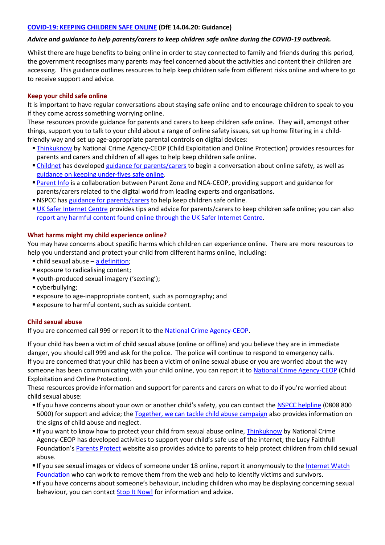### **[COVID-19: KEEPING CHILDREN SAFE ONLINE](https://www.gov.uk/government/publications/coronavirus-covid-19-keeping-children-safe-online) (DfE 14.04.20: Guidance)**

## *Advice and guidance to help parents/carers to keep children safe online during the COVID-19 outbreak.*

Whilst there are huge benefits to being online in order to stay connected to family and friends during this period, the government recognises many parents may feel concerned about the activities and content their children are accessing. This guidance outlines resources to help keep children safe from different risks online and where to go to receive support and advice.

### **Keep your child safe online**

It is important to have regular conversations about staying safe online and to encourage children to speak to you if they come across something worrying online.

These resources provide guidance for parents and carers to keep children safe online. They will, amongst other things, support you to talk to your child about a range of online safety issues, set up home filtering in a childfriendly way and set up age-appropriate parental controls on digital devices:

- **[Thinkuknow](https://www.thinkuknow.co.uk/) by National Crime Agency-CEOP (Child Exploitation and Online Protection) provides resources for** parents and carers and children of all ages to help keep children safe online.
- [Childnet](https://www.childnet.com/) has developed [guidance for parents/carers](https://www.childnet.com/parents-and-carers/have-a-conversation) to begin a conversation about online safety, as well as [guidance on keeping under-fives safe online.](https://www.childnet.com/parents-and-carers/hot-topics/keeping-young-children-safe-online)
- **[Parent Info](https://parentinfo.org/) is a collaboration between Parent Zone and NCA-CEOP, providing support and guidance for** parents/carers related to the digital world from leading experts and organisations.
- **NSPCC** ha[s guidance for parents/carers](https://www.nspcc.org.uk/keeping-children-safe/online-safety) to help keep children safe online.
- [UK Safer Internet Centre](https://www.saferinternet.org.uk/advice-centre/parents-and-carers) provides tips and advice for parents/carers to keep children safe online; you can also [report any harmful content found online through the UK Safer Internet Centre.](https://reportharmfulcontent.com/)

### **What harms might my child experience online?**

You may have concerns about specific harms which children can experience online. There are more resources to help you understand and protect your child from different harms online, including:

- child sexual abuse [a definition;](https://assets.publishing.service.gov.uk/government/uploads/system/uploads/attachment_data/file/779401/Working_Together_to_Safeguard-Children.pdf#page=103)
- exposure to radicalising content;
- youth-produced sexual imagery ('sexting');
- cyberbullying;
- exposure to age-inappropriate content, such as pornography; and
- exposure to harmful content, such as suicide content.

# **Child sexual abuse**

If you are concerned call 999 or report it to the [National Crime Agency-CEOP.](https://www.ceop.police.uk/ceop-reporting/)

If your child has been a victim of child sexual abuse (online or offline) and you believe they are in immediate danger, you should call 999 and ask for the police. The police will continue to respond to emergency calls. If you are concerned that your child has been a victim of online sexual abuse or you are worried about the way someone has been communicating with your child online, you can report it to [National Crime Agency-CEOP](https://www.ceop.police.uk/ceop-reporting/) (Child Exploitation and Online Protection).

These resources provide information and support for parents and carers on what to do if you're worried about child sexual abuse:

- If you have concerns about your own or another child's safety, you can contact the [NSPCC helpline](https://www.nspcc.org.uk/keeping-children-safe/our-services/nspcc-helpline/) (0808 800 5000) for support and advice; th[e Together, we can tackle child abuse campaign](https://tacklechildabuse.campaign.gov.uk/) also provides information on the signs of child abuse and neglect.
- If you want to know how to protect your child from sexual abuse online[, Thinkuknow](https://www.thinkuknow.co.uk/parents/Support-tools/home-activity-worksheets/) by National Crime Agency-CEOP has developed activities to support your child's safe use of the internet; the Lucy Faithfull Foundation's [Parents Protect](https://www.parentsprotect.co.uk/) website also provides advice to parents to help protect children from child sexual abuse.
- If you see sexual images or videos of someone under 18 online, report it anonymously to the [Internet Watch](https://report.iwf.org.uk/en)  [Foundation](https://report.iwf.org.uk/en) who can work to remove them from the web and help to identify victims and survivors.
- If you have concerns about someone's behaviour, including children who may be displaying concerning sexual behaviour, you can contac[t Stop It Now!](https://www.stopitnow.org.uk/) for information and advice.